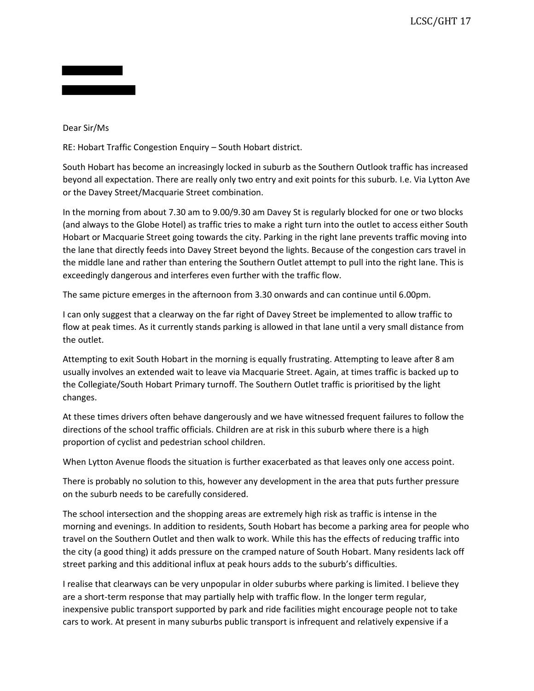## Dear Sir/Ms

RE: Hobart Traffic Congestion Enquiry – South Hobart district.

South Hobart has become an increasingly locked in suburb as the Southern Outlook traffic has increased beyond all expectation. There are really only two entry and exit points for this suburb. I.e. Via Lytton Ave or the Davey Street/Macquarie Street combination.

In the morning from about 7.30 am to 9.00/9.30 am Davey St is regularly blocked for one or two blocks (and always to the Globe Hotel) as traffic tries to make a right turn into the outlet to access either South Hobart or Macquarie Street going towards the city. Parking in the right lane prevents traffic moving into the lane that directly feeds into Davey Street beyond the lights. Because of the congestion cars travel in the middle lane and rather than entering the Southern Outlet attempt to pull into the right lane. This is exceedingly dangerous and interferes even further with the traffic flow.

The same picture emerges in the afternoon from 3.30 onwards and can continue until 6.00pm.

I can only suggest that a clearway on the far right of Davey Street be implemented to allow traffic to flow at peak times. As it currently stands parking is allowed in that lane until a very small distance from the outlet.

Attempting to exit South Hobart in the morning is equally frustrating. Attempting to leave after 8 am usually involves an extended wait to leave via Macquarie Street. Again, at times traffic is backed up to the Collegiate/South Hobart Primary turnoff. The Southern Outlet traffic is prioritised by the light changes.

At these times drivers often behave dangerously and we have witnessed frequent failures to follow the directions of the school traffic officials. Children are at risk in this suburb where there is a high proportion of cyclist and pedestrian school children.

When Lytton Avenue floods the situation is further exacerbated as that leaves only one access point.

There is probably no solution to this, however any development in the area that puts further pressure on the suburb needs to be carefully considered.

The school intersection and the shopping areas are extremely high risk as traffic is intense in the morning and evenings. In addition to residents, South Hobart has become a parking area for people who travel on the Southern Outlet and then walk to work. While this has the effects of reducing traffic into the city (a good thing) it adds pressure on the cramped nature of South Hobart. Many residents lack off street parking and this additional influx at peak hours adds to the suburb's difficulties.

I realise that clearways can be very unpopular in older suburbs where parking is limited. I believe they are a short-term response that may partially help with traffic flow. In the longer term regular, inexpensive public transport supported by park and ride facilities might encourage people not to take cars to work. At present in many suburbs public transport is infrequent and relatively expensive if a